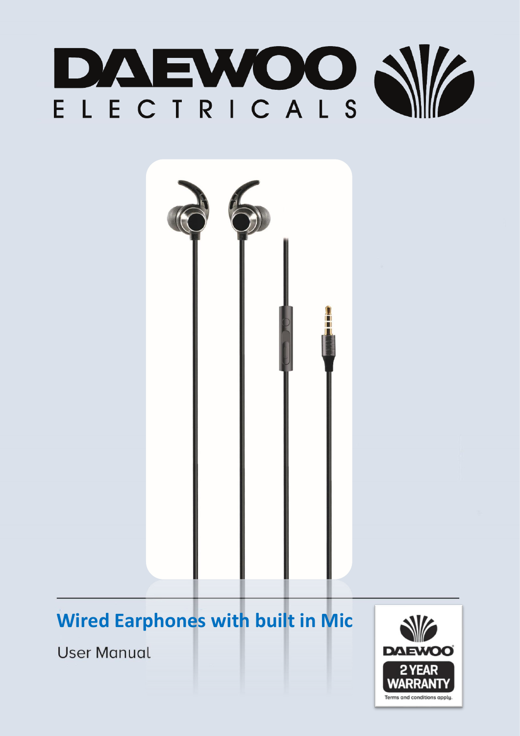



# **Wired Earphones with built in Mic**

**User Manual** 

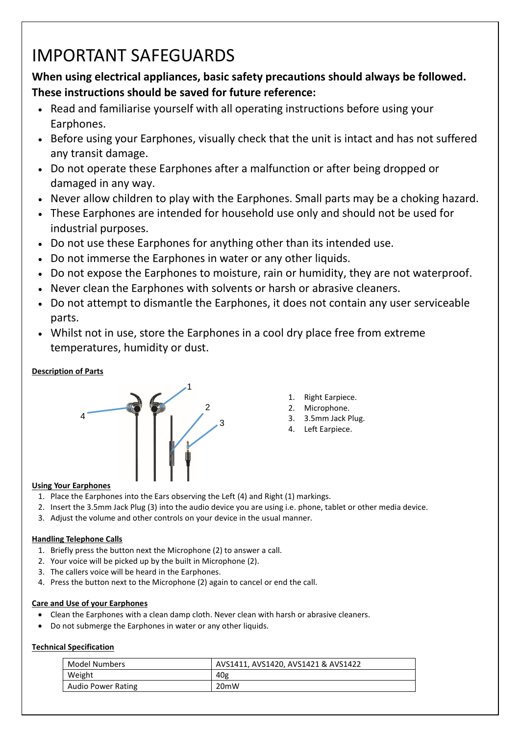## IMPORTANT SAFEGUARDS

### **When using electrical appliances, basic safety precautions should always be followed. These instructions should be saved for future reference:**

- Read and familiarise yourself with all operating instructions before using your Earphones.
- Before using your Earphones, visually check that the unit is intact and has not suffered any transit damage.
- Do not operate these Earphones after a malfunction or after being dropped or damaged in any way.
- Never allow children to play with the Earphones. Small parts may be a choking hazard.
- These Earphones are intended for household use only and should not be used for industrial purposes.
- Do not use these Earphones for anything other than its intended use.
- Do not immerse the Earphones in water or any other liquids.
- Do not expose the Earphones to moisture, rain or humidity, they are not waterproof.
- Never clean the Earphones with solvents or harsh or abrasive cleaners.
- Do not attempt to dismantle the Earphones, it does not contain any user serviceable parts.
- Whilst not in use, store the Earphones in a cool dry place free from extreme temperatures, humidity or dust.

#### **Description of Parts**



- 1. Right Earpiece.
- 2. Microphone.
- 3. 3.5mm Jack Plug.
- 4. Left Earpiece.

#### **Using Your Earphones**

- 1. Place the Earphones into the Ears observing the Left (4) and Right (1) markings.
- 2. Insert the 3.5mm Jack Plug (3) into the audio device you are using i.e. phone, tablet or other media device.
- 3. Adjust the volume and other controls on your device in the usual manner.

#### **Handling Telephone Calls**

- 1. Briefly press the button next the Microphone (2) to answer a call.
- 2. Your voice will be picked up by the built in Microphone (2).
- 3. The callers voice will be heard in the Earphones.
- 4. Press the button next to the Microphone (2) again to cancel or end the call.

#### **Care and Use of your Earphones**

- Clean the Earphones with a clean damp cloth. Never clean with harsh or abrasive cleaners.
- Do not submerge the Earphones in water or any other liquids.

#### **Technical Specification**

| <b>Model Numbers</b>      | AVS1411, AVS1420, AVS1421 & AVS1422 |
|---------------------------|-------------------------------------|
| Weight                    | 40g                                 |
| <b>Audio Power Rating</b> | 20 <sub>m</sub> W                   |